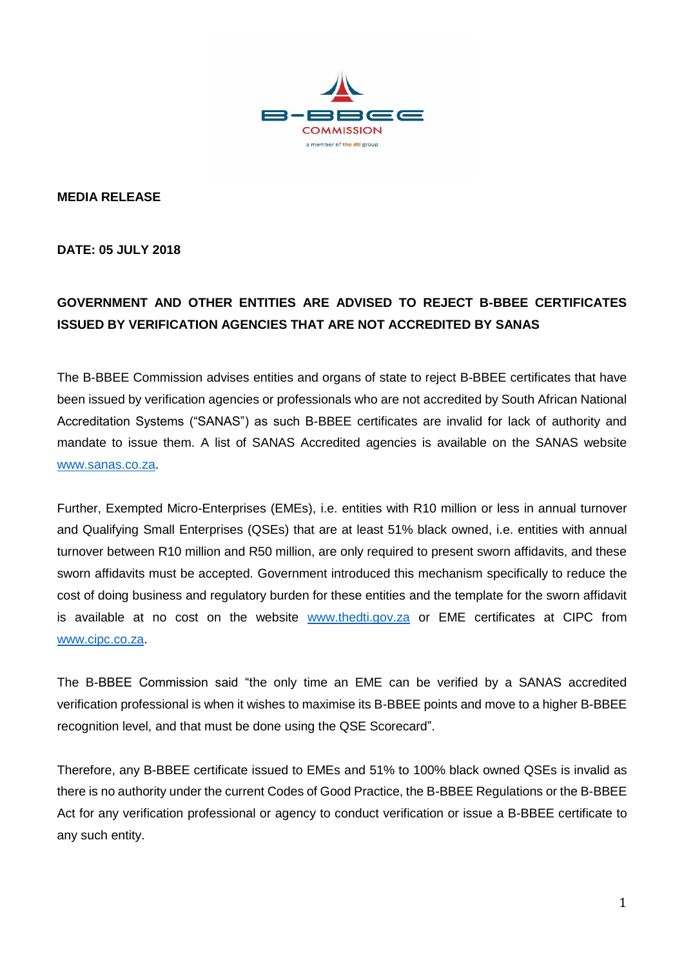

**MEDIA RELEASE**

**DATE: 05 JULY 2018**

## **GOVERNMENT AND OTHER ENTITIES ARE ADVISED TO REJECT B-BBEE CERTIFICATES ISSUED BY VERIFICATION AGENCIES THAT ARE NOT ACCREDITED BY SANAS**

The B-BBEE Commission advises entities and organs of state to reject B-BBEE certificates that have been issued by verification agencies or professionals who are not accredited by South African National Accreditation Systems ("SANAS") as such B-BBEE certificates are invalid for lack of authority and mandate to issue them. A list of SANAS Accredited agencies is available on the SANAS website [www.sanas.co.za.](http://www.sanas.co.za/)

Further, Exempted Micro-Enterprises (EMEs), i.e. entities with R10 million or less in annual turnover and Qualifying Small Enterprises (QSEs) that are at least 51% black owned, i.e. entities with annual turnover between R10 million and R50 million, are only required to present sworn affidavits, and these sworn affidavits must be accepted. Government introduced this mechanism specifically to reduce the cost of doing business and regulatory burden for these entities and the template for the sworn affidavit is available at no cost on the website [www.thedti.gov.za](http://www.thedti.gov.za/) or EME certificates at CIPC from www.cipc.co.za.

The B-BBEE Commission said "the only time an EME can be verified by a SANAS accredited verification professional is when it wishes to maximise its B-BBEE points and move to a higher B-BBEE recognition level, and that must be done using the QSE Scorecard".

Therefore, any B-BBEE certificate issued to EMEs and 51% to 100% black owned QSEs is invalid as there is no authority under the current Codes of Good Practice, the B-BBEE Regulations or the B-BBEE Act for any verification professional or agency to conduct verification or issue a B-BBEE certificate to any such entity.